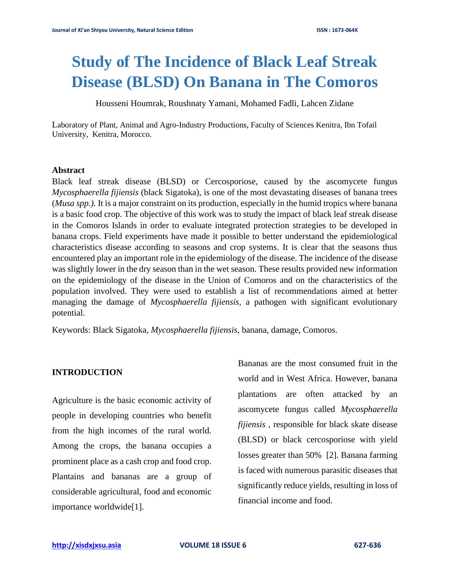# **Study of The Incidence of Black Leaf Streak Disease (BLSD) On Banana in The Comoros**

Housseni Houmrak, Roushnaty Yamani, Mohamed Fadli, Lahcen Zidane

Laboratory of Plant, Animal and Agro-Industry Productions, Faculty of Sciences Kenitra, Ibn Tofail University, Kenitra, Morocco.

#### **Abstract**

Black leaf streak disease (BLSD) or Cercosporiose, caused by the ascomycete fungus *Mycosphaerella fijiensis* (black Sigatoka), is one of the most devastating diseases of banana trees (*Musa spp.).* It is a major constraint on its production, especially in the humid tropics where banana is a basic food crop. The objective of this work was to study the impact of black leaf streak disease in the Comoros Islands in order to evaluate integrated protection strategies to be developed in banana crops. Field experiments have made it possible to better understand the epidemiological characteristics disease according to seasons and crop systems. It is clear that the seasons thus encountered play an important role in the epidemiology of the disease. The incidence of the disease was slightly lower in the dry season than in the wet season. These results provided new information on the epidemiology of the disease in the Union of Comoros and on the characteristics of the population involved. They were used to establish a list of recommendations aimed at better managing the damage of *Mycosphaerella fijiensis,* a pathogen with significant evolutionary potential.

Keywords: Black Sigatoka, *Mycosphaerella fijiensis*, banana, damage, Comoros.

### **INTRODUCTION**

Agriculture is the basic economic activity of people in developing countries who benefit from the high incomes of the rural world. Among the crops, the banana occupies a prominent place as a cash crop and food crop. Plantains and bananas are a group of considerable agricultural, food and economic importance worldwide[1].

Bananas are the most consumed fruit in the world and in West Africa. However, banana plantations are often attacked by an ascomycete fungus called *Mycosphaerella fijiensis* , responsible for black skate disease (BLSD) or black cercosporiose with yield losses greater than 50% [2]. Banana farming is faced with numerous parasitic diseases that significantly reduce yields, resulting in loss of financial income and food.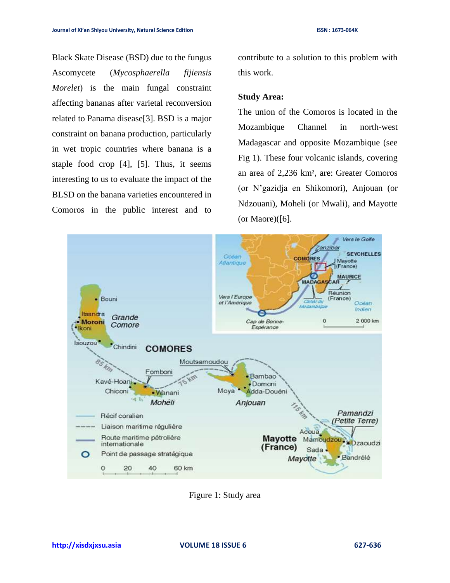Black Skate Disease (BSD) due to the fungus Ascomycete (*Mycosphaerella fijiensis Morelet*) is the main fungal constraint affecting bananas after varietal reconversion related to Panama disease[3]. BSD is a major constraint on banana production, particularly in wet tropic countries where banana is a staple food crop [4], [5]. Thus, it seems interesting to us to evaluate the impact of the BLSD on the banana varieties encountered in Comoros in the public interest and to

contribute to a solution to this problem with this work.

#### **Study Area:**

The union of the Comoros is located in the Mozambique Channel in north-west Madagascar and opposite Mozambique (see Fig 1). These four volcanic islands, covering an area of 2,236 km², are: Greater Comoros (or N'gazidja en Shikomori), Anjouan (or Ndzouani), Moheli (or Mwali), and Mayotte (or Maore) $([6]$ .



Figure 1: Study area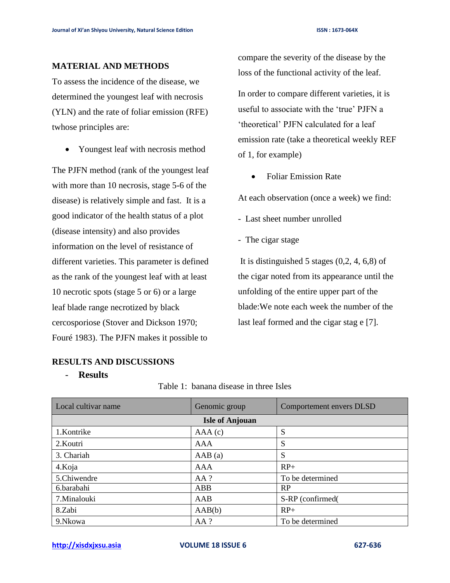#### **MATERIAL AND METHODS**

To assess the incidence of the disease, we determined the youngest leaf with necrosis (YLN) and the rate of foliar emission (RFE) twhose principles are:

• Youngest leaf with necrosis method

The PJFN method (rank of the youngest leaf with more than 10 necrosis, stage 5-6 of the disease) is relatively simple and fast. It is a good indicator of the health status of a plot (disease intensity) and also provides information on the level of resistance of different varieties. This parameter is defined as the rank of the youngest leaf with at least 10 necrotic spots (stage 5 or 6) or a large leaf blade range necrotized by black cercosporiose (Stover and Dickson 1970; Fouré 1983). The PJFN makes it possible to

# compare the severity of the disease by the loss of the functional activity of the leaf.

In order to compare different varieties, it is useful to associate with the 'true' PJFN a 'theoretical' PJFN calculated for a leaf emission rate (take a theoretical weekly REF of 1, for example)

• Foliar Emission Rate

At each observation (once a week) we find:

- Last sheet number unrolled
- The cigar stage

It is distinguished 5 stages (0,2, 4, 6,8) of the cigar noted from its appearance until the unfolding of the entire upper part of the blade:We note each week the number of the last leaf formed and the cigar stag e [7].

# **RESULTS AND DISCUSSIONS**

#### - **Results**

| Table 1: banana disease in three Isles |  |  |  |  |  |
|----------------------------------------|--|--|--|--|--|
|----------------------------------------|--|--|--|--|--|

| Local cultivar name    | Genomic group | Comportement envers DLSD |  |  |  |  |
|------------------------|---------------|--------------------------|--|--|--|--|
| <b>Isle of Anjouan</b> |               |                          |  |  |  |  |
| 1.Kontrike             | AAA(c)        | S                        |  |  |  |  |
| 2. Koutri              | AAA           | S                        |  |  |  |  |
| 3. Chariah             | AAB(a)        | S                        |  |  |  |  |
| 4.Koja                 | AAA           | $RP+$                    |  |  |  |  |
| 5.Chiwendre            | $AA$ ?        | To be determined         |  |  |  |  |
| 6.barabahi             | ABB           | <b>RP</b>                |  |  |  |  |
| 7. Minalouki           | AAB           | S-RP (confirmed)         |  |  |  |  |
| 8.Zabi                 | AAB(b)        | $RP+$                    |  |  |  |  |
| 9.Nkowa                | AA ?          | To be determined         |  |  |  |  |

**[http://xisdxjxsu.asia](http://xisdxjxsu.asia/) VOLUME 18 ISSUE 6 627-636**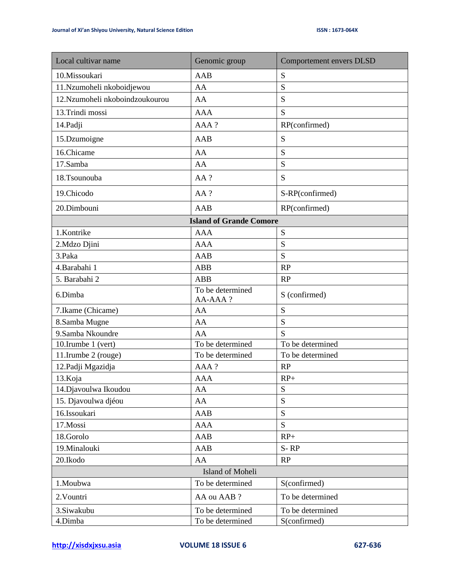| Local cultivar name             | Genomic group               | Comportement envers DLSD |  |  |  |  |
|---------------------------------|-----------------------------|--------------------------|--|--|--|--|
| 10.Missoukari                   | AAB                         | S                        |  |  |  |  |
| 11.Nzumoheli nkoboidjewou       | AA                          | S                        |  |  |  |  |
| 12. Nzumoheli nkoboindzoukourou | AA                          | S                        |  |  |  |  |
| 13.Trindi mossi                 | <b>AAA</b>                  | S                        |  |  |  |  |
| 14.Padji                        | AAA?                        | RP(confirmed)            |  |  |  |  |
| 15.Dzumoigne                    | <b>AAB</b>                  | S                        |  |  |  |  |
| 16.Chicame                      | AA                          | S                        |  |  |  |  |
| 17.Samba                        | AA                          | S                        |  |  |  |  |
| 18.Tsounouba                    | AA ?                        | S                        |  |  |  |  |
| 19.Chicodo                      | AA ?                        | S-RP(confirmed)          |  |  |  |  |
| 20.Dimbouni                     | AAB                         | RP(confirmed)            |  |  |  |  |
| <b>Island of Grande Comore</b>  |                             |                          |  |  |  |  |
| 1.Kontrike                      | <b>AAA</b>                  | S                        |  |  |  |  |
| 2.Mdzo Djini                    | <b>AAA</b>                  | S                        |  |  |  |  |
| 3.Paka                          | <b>AAB</b>                  | S                        |  |  |  |  |
| 4.Barabahi 1                    | <b>ABB</b>                  | RP                       |  |  |  |  |
| 5. Barabahi 2                   | <b>ABB</b>                  | RP                       |  |  |  |  |
| 6.Dimba                         | To be determined<br>AA-AAA? | S (confirmed)            |  |  |  |  |
| 7. Ikame (Chicame)              | AA                          | ${\bf S}$                |  |  |  |  |
| 8.Samba Mugne                   | AA                          | S                        |  |  |  |  |
| 9.Samba Nkoundre                | AA                          | S                        |  |  |  |  |
| 10.Irumbe 1 (vert)              | To be determined            | To be determined         |  |  |  |  |
| 11.Irumbe 2 (rouge)             | To be determined            | To be determined         |  |  |  |  |
| 12. Padji Mgazidja              | AAA?                        | RP                       |  |  |  |  |
| 13.Koja                         | <b>AAA</b>                  | $RP+$                    |  |  |  |  |
| 14. Djavoulwa Ikoudou           | AA                          | S                        |  |  |  |  |
| 15. Djavoulwa djéou             | AA                          | S                        |  |  |  |  |
| 16.Issoukari                    | AAB                         | S                        |  |  |  |  |
| 17.Mossi                        | <b>AAA</b>                  | S                        |  |  |  |  |
| 18.Gorolo                       | AAB                         | $RP+$                    |  |  |  |  |
| 19.Minalouki                    | AAB                         | $S-RP$                   |  |  |  |  |
| 20.Ikodo                        | AA                          | RP                       |  |  |  |  |
|                                 | Island of Moheli            |                          |  |  |  |  |
| 1.Moubwa                        | To be determined            | S(confirmed)             |  |  |  |  |
| 2. Vountri                      | AA ou AAB ?                 | To be determined         |  |  |  |  |
| 3.Siwakubu                      | To be determined            | To be determined         |  |  |  |  |
| 4.Dimba                         | To be determined            | S(confirmed)             |  |  |  |  |

**[http://xisdxjxsu.asia](http://xisdxjxsu.asia/) VOLUME 18 ISSUE 6 627-636**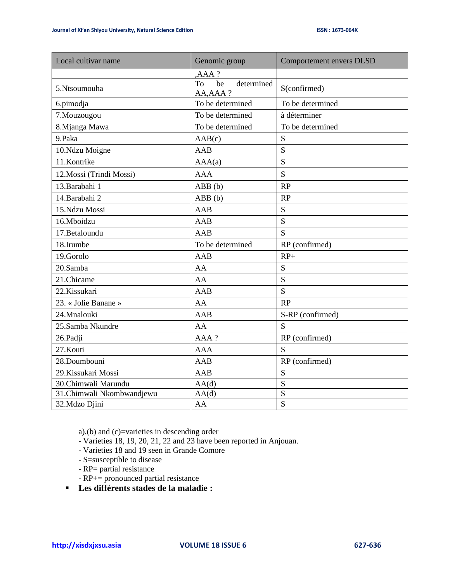| Local cultivar name       | Genomic group                       | Comportement envers DLSD |  |
|---------------------------|-------------------------------------|--------------------------|--|
|                           | $AAA$ ?                             |                          |  |
| 5.Ntsoumouha              | To<br>be<br>determined<br>AA, AAA ? | S(confirmed)             |  |
| 6.pimodja                 | To be determined                    | To be determined         |  |
| 7. Mouzougou              | To be determined                    | à déterminer             |  |
| 8.Mjanga Mawa             | To be determined                    | To be determined         |  |
| 9.Paka                    | AAB(c)                              | S                        |  |
| 10.Ndzu Moigne            | AAB                                 | S                        |  |
| 11.Kontrike               | AAA(a)                              | S                        |  |
| 12. Mossi (Trindi Mossi)  | <b>AAA</b>                          | S                        |  |
| 13. Barabahi 1            | ABB(b)                              | RP                       |  |
| 14.Barabahi 2             | ABB(b)                              | RP                       |  |
| 15.Ndzu Mossi             | AAB                                 | S                        |  |
| 16.Mboidzu                | AAB                                 | S                        |  |
| 17.Betaloundu             | <b>AAB</b>                          | S                        |  |
| 18.Irumbe                 | To be determined                    | RP (confirmed)           |  |
| 19.Gorolo                 | <b>AAB</b>                          | $RP+$                    |  |
| 20.Samba                  | AA                                  | S                        |  |
| 21.Chicame                | AA                                  | S                        |  |
| 22.Kissukari              | AAB                                 | S                        |  |
| 23. « Jolie Banane »      | AA                                  | RP                       |  |
| 24.Mnalouki               | <b>AAB</b>                          | S-RP (confirmed)         |  |
| 25.Samba Nkundre          | AA                                  | S                        |  |
| 26.Padji                  | AAA?                                | RP (confirmed)           |  |
| 27.Kouti                  | <b>AAA</b>                          | S                        |  |
| 28.Doumbouni              | AAB                                 | RP (confirmed)           |  |
| 29. Kissukari Mossi       | AAB                                 | S                        |  |
| 30.Chimwali Marundu       | AA(d)                               | S                        |  |
| 31.Chimwali Nkombwandjewu | AA(d)                               | S                        |  |
| 32.Mdzo Djini             | AA                                  | S                        |  |

a),(b) and (c)=varieties in descending order

- Varieties 18, 19, 20, 21, 22 and 23 have been reported in Anjouan.
- Varieties 18 and 19 seen in Grande Comore
- S=susceptible to disease
- RP= partial resistance
- RP+= pronounced partial resistance
- **Les différents stades de la maladie :**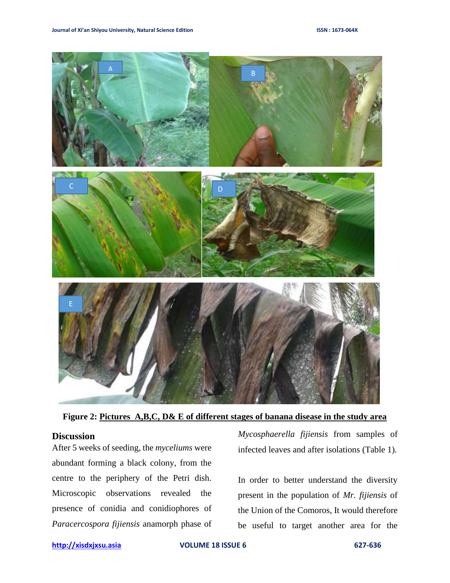

**Figure 2: Pictures A,B,C, D& E of different stages of banana disease in the study area**

#### **Discussion**

After 5 weeks of seeding, the *myceliums* were abundant forming a black colony, from the centre to the periphery of the Petri dish. Microscopic observations revealed the presence of conidia and conidiophores of *Paracercospora fijiensis* anamorph phase of

*Mycosphaerella fijiensis* from samples of infected leaves and after isolations (Table 1).

In order to better understand the diversity present in the population of *Mr. fijiensis* of the Union of the Comoros, It would therefore be useful to target another area for the

**[http://xisdxjxsu.asia](http://xisdxjxsu.asia/) VOLUME 18 ISSUE 6 627-636**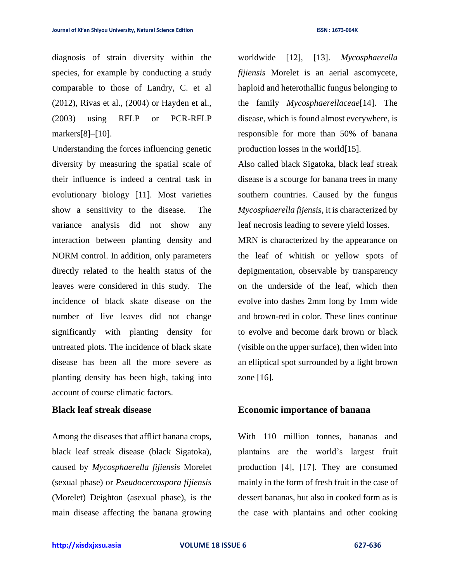diagnosis of strain diversity within the species, for example by conducting a study comparable to those of Landry, C. et al (2012), Rivas et al., (2004) or Hayden et al., (2003) using RFLP or PCR-RFLP markers[8]–[10].

Understanding the forces influencing genetic diversity by measuring the spatial scale of their influence is indeed a central task in evolutionary biology [11]. Most varieties show a sensitivity to the disease. The variance analysis did not show any interaction between planting density and NORM control. In addition, only parameters directly related to the health status of the leaves were considered in this study. The incidence of black skate disease on the number of live leaves did not change significantly with planting density for untreated plots. The incidence of black skate disease has been all the more severe as planting density has been high, taking into account of course climatic factors.

# **Black leaf streak disease**

Among the diseases that afflict banana crops, black leaf streak disease (black Sigatoka), caused by *Mycosphaerella fijiensis* Morelet (sexual phase) or *Pseudocercospora fijiensis* (Morelet) Deighton (asexual phase), is the main disease affecting the banana growing

worldwide [12], [13]. *Mycosphaerella fijiensis* Morelet is an aerial ascomycete, haploid and heterothallic fungus belonging to the family *Mycosphaerellaceae*[14]. The disease, which is found almost everywhere, is responsible for more than 50% of banana production losses in the world[15].

Also called black Sigatoka, black leaf streak disease is a scourge for banana trees in many southern countries. Caused by the fungus *Mycosphaerella fijensis*, it is characterized by leaf necrosis leading to severe yield losses.

MRN is characterized by the appearance on the leaf of whitish or yellow spots of depigmentation, observable by transparency on the underside of the leaf, which then evolve into dashes 2mm long by 1mm wide and brown-red in color. These lines continue to evolve and become dark brown or black (visible on the upper surface), then widen into an elliptical spot surrounded by a light brown zone [16].

#### **Economic importance of banana**

With 110 million tonnes, bananas and plantains are the world's largest fruit production [4], [17]. They are consumed mainly in the form of fresh fruit in the case of dessert bananas, but also in cooked form as is the case with plantains and other cooking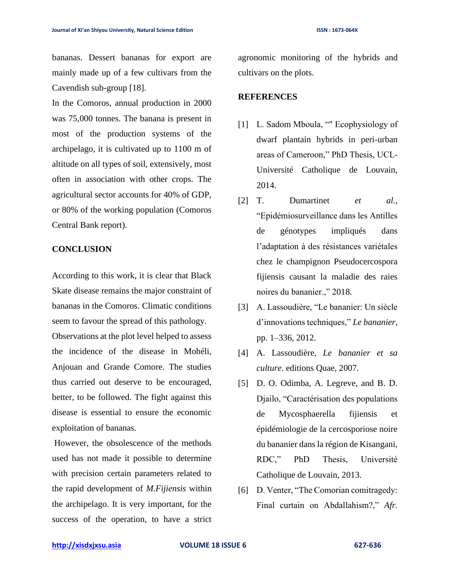bananas. Dessert bananas for export are mainly made up of a few cultivars from the Cavendish sub-group [18].

In the Comoros, annual production in 2000 was 75,000 tonnes. The banana is present in most of the production systems of the archipelago, it is cultivated up to 1100 m of altitude on all types of soil, extensively, most often in association with other crops. The agricultural sector accounts for 40% of GDP, or 80% of the working population (Comoros Central Bank report).

#### **CONCLUSION**

According to this work, it is clear that Black Skate disease remains the major constraint of bananas in the Comoros. Climatic conditions seem to favour the spread of this pathology. Observations at the plot level helped to assess the incidence of the disease in Mohéli, Anjouan and Grande Comore. The studies thus carried out deserve to be encouraged, better, to be followed. The fight against this disease is essential to ensure the economic exploitation of bananas.

However, the obsolescence of the methods used has not made it possible to determine with precision certain parameters related to the rapid development of *M.Fijiensis* within the archipelago. It is very important, for the success of the operation, to have a strict agronomic monitoring of the hybrids and cultivars on the plots.

## **REFERENCES**

- [1] L. Sadom Mboula, "" Ecophysiology of dwarf plantain hybrids in peri-urban areas of Cameroon," PhD Thesis, UCL-Université Catholique de Louvain, 2014.
- [2] T. Dumartinet *et al.*, "Epidémiosurveillance dans les Antilles de génotypes impliqués dans l'adaptation à des résistances variétales chez le champignon Pseudocercospora fijiensis causant la maladie des raies noires du bananier.," 2018.
- [3] A. Lassoudière, "Le bananier: Un siècle d'innovations techniques," *Le bananier*, pp. 1–336, 2012.
- [4] A. Lassoudière, *Le bananier et sa culture*. editions Quae, 2007.
- [5] D. O. Odimba, A. Legreve, and B. D. Djailo, "Caractérisation des populations de Mycosphaerella fijiensis et épidémiologie de la cercosporiose noire du bananier dans la région de Kisangani, RDC," PhD Thesis, Université Catholique de Louvain, 2013.
- [6] D. Venter, "The Comorian comitragedy: Final curtain on Abdallahism?," *Afr.*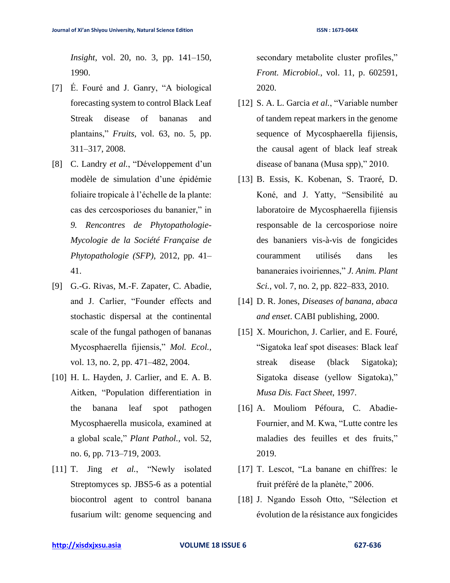*Insight*, vol. 20, no. 3, pp. 141–150, 1990.

- [7] É. Fouré and J. Ganry, "A biological forecasting system to control Black Leaf Streak disease of bananas and plantains," *Fruits*, vol. 63, no. 5, pp. 311–317, 2008.
- [8] C. Landry *et al.*, "Développement d'un modèle de simulation d'une épidémie foliaire tropicale à l'échelle de la plante: cas des cercosporioses du bananier," in *9. Rencontres de Phytopathologie-Mycologie de la Société Française de Phytopathologie (SFP)*, 2012, pp. 41– 41.
- [9] G.-G. Rivas, M.-F. Zapater, C. Abadie, and J. Carlier, "Founder effects and stochastic dispersal at the continental scale of the fungal pathogen of bananas Mycosphaerella fijiensis," *Mol. Ecol.*, vol. 13, no. 2, pp. 471–482, 2004.
- [10] H. L. Hayden, J. Carlier, and E. A. B. Aitken, "Population differentiation in the banana leaf spot pathogen Mycosphaerella musicola, examined at a global scale," *Plant Pathol.*, vol. 52, no. 6, pp. 713–719, 2003.
- [11] T. Jing *et al.*, "Newly isolated Streptomyces sp. JBS5-6 as a potential biocontrol agent to control banana fusarium wilt: genome sequencing and

secondary metabolite cluster profiles," *Front. Microbiol.*, vol. 11, p. 602591, 2020.

- [12] S. A. L. Garcia *et al.*, "Variable number of tandem repeat markers in the genome sequence of Mycosphaerella fijiensis, the causal agent of black leaf streak disease of banana (Musa spp)," 2010.
- [13] B. Essis, K. Kobenan, S. Traoré, D. Koné, and J. Yatty, "Sensibilité au laboratoire de Mycosphaerella fijiensis responsable de la cercosporiose noire des bananiers vis-à-vis de fongicides couramment utilisés dans les bananeraies ivoiriennes," *J. Anim. Plant Sci.*, vol. 7, no. 2, pp. 822–833, 2010.
- [14] D. R. Jones, *Diseases of banana, abaca and enset*. CABI publishing, 2000.
- [15] X. Mourichon, J. Carlier, and E. Fouré, "Sigatoka leaf spot diseases: Black leaf streak disease (black Sigatoka); Sigatoka disease (yellow Sigatoka)," *Musa Dis. Fact Sheet*, 1997.
- [16] A. Mouliom Péfoura, C. Abadie-Fournier, and M. Kwa, "Lutte contre les maladies des feuilles et des fruits," 2019.
- [17] T. Lescot, "La banane en chiffres: le fruit préféré de la planète," 2006.
- [18] J. Ngando Essoh Otto, "Sélection et évolution de la résistance aux fongicides